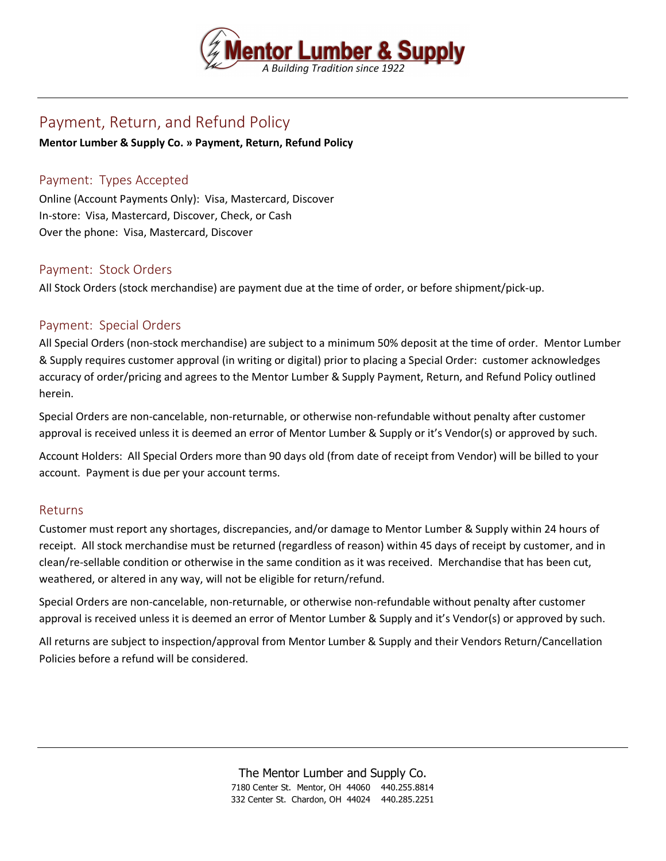

# Payment, Return, and Refund Policy

#### **Mentor Lumber & Supply Co. » Payment, Return, Refund Policy**

## Payment: Types Accepted

Online (Account Payments Only): Visa, Mastercard, Discover In-store: Visa, Mastercard, Discover, Check, or Cash Over the phone: Visa, Mastercard, Discover

### Payment: Stock Orders

All Stock Orders (stock merchandise) are payment due at the time of order, or before shipment/pick-up.

### Payment: Special Orders

All Special Orders (non-stock merchandise) are subject to a minimum 50% deposit at the time of order. Mentor Lumber & Supply requires customer approval (in writing or digital) prior to placing a Special Order: customer acknowledges accuracy of order/pricing and agrees to the Mentor Lumber & Supply Payment, Return, and Refund Policy outlined herein.

Special Orders are non-cancelable, non-returnable, or otherwise non-refundable without penalty after customer approval is received unless it is deemed an error of Mentor Lumber & Supply or it's Vendor(s) or approved by such.

Account Holders: All Special Orders more than 90 days old (from date of receipt from Vendor) will be billed to your account. Payment is due per your account terms.

#### Returns

Customer must report any shortages, discrepancies, and/or damage to Mentor Lumber & Supply within 24 hours of receipt. All stock merchandise must be returned (regardless of reason) within 45 days of receipt by customer, and in clean/re-sellable condition or otherwise in the same condition as it was received. Merchandise that has been cut, weathered, or altered in any way, will not be eligible for return/refund.

Special Orders are non-cancelable, non-returnable, or otherwise non-refundable without penalty after customer approval is received unless it is deemed an error of Mentor Lumber & Supply and it's Vendor(s) or approved by such.

All returns are subject to inspection/approval from Mentor Lumber & Supply and their Vendors Return/Cancellation Policies before a refund will be considered.